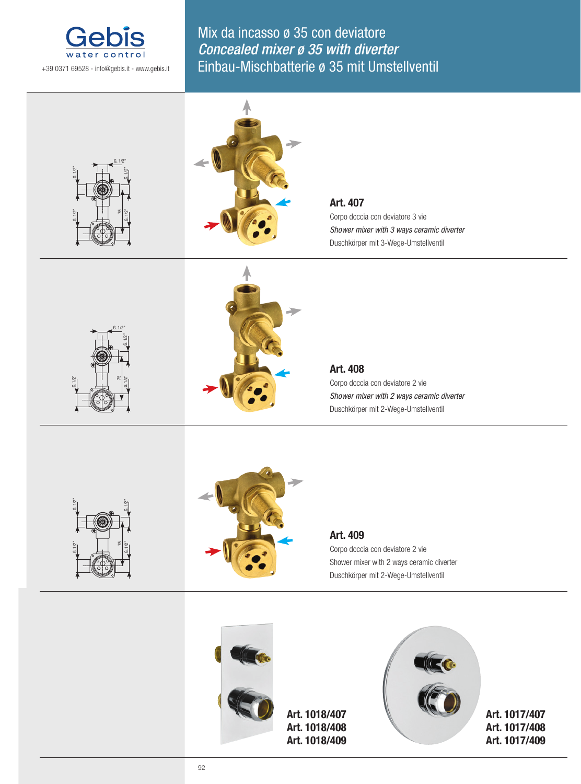

Mix da incasso ø 35 con deviatore Concealed mixer ø 35 with diverter Einbau-Mischbatterie ø 35 mit Umstellventil



**Art. 1018/407 Art. 1018/408 Art. 1018/409**

**Art. 1017/408 Art. 1017/409**

92